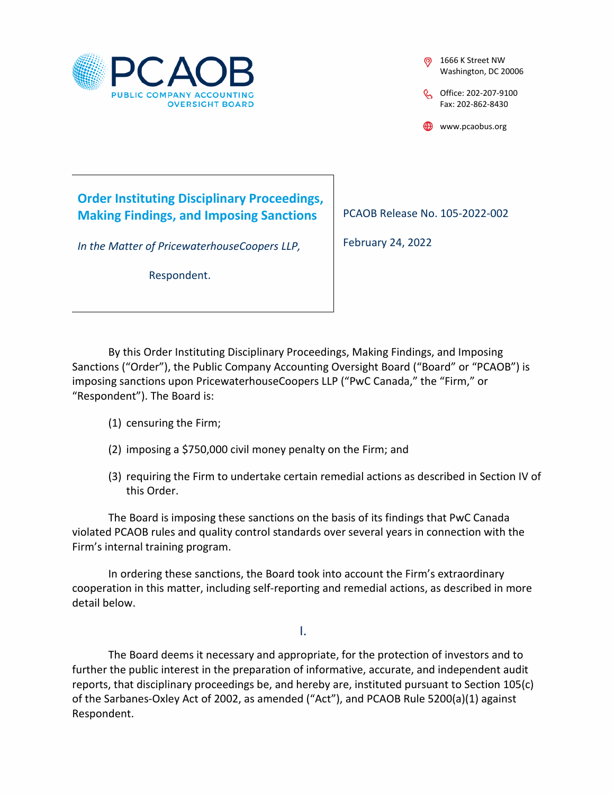

1666 K Street NW Washington, DC 20006

C<sub>0</sub> Office: 202-207-9100 Fax: 202-862-8430

www.pcaobus.org

# **Order Instituting Disciplinary Proceedings, Making Findings, and Imposing Sanctions**

*In the Matter of PricewaterhouseCoopers LLP,* 

Respondent.

PCAOB Release No. 105-2022-002

February 24, 2022

By this Order Instituting Disciplinary Proceedings, Making Findings, and Imposing Sanctions ("Order"), the Public Company Accounting Oversight Board ("Board" or "PCAOB") is imposing sanctions upon PricewaterhouseCoopers LLP ("PwC Canada," the "Firm," or "Respondent"). The Board is:

- (1) censuring the Firm;
- (2) imposing a \$750,000 civil money penalty on the Firm; and
- (3) requiring the Firm to undertake certain remedial actions as described in Section IV of this Order.

The Board is imposing these sanctions on the basis of its findings that PwC Canada violated PCAOB rules and quality control standards over several years in connection with the Firm's internal training program.

In ordering these sanctions, the Board took into account the Firm's extraordinary cooperation in this matter, including self-reporting and remedial actions, as described in more detail below.

I.

The Board deems it necessary and appropriate, for the protection of investors and to further the public interest in the preparation of informative, accurate, and independent audit reports, that disciplinary proceedings be, and hereby are, instituted pursuant to Section 105(c) of the Sarbanes-Oxley Act of 2002, as amended ("Act"), and PCAOB Rule 5200(a)(1) against Respondent.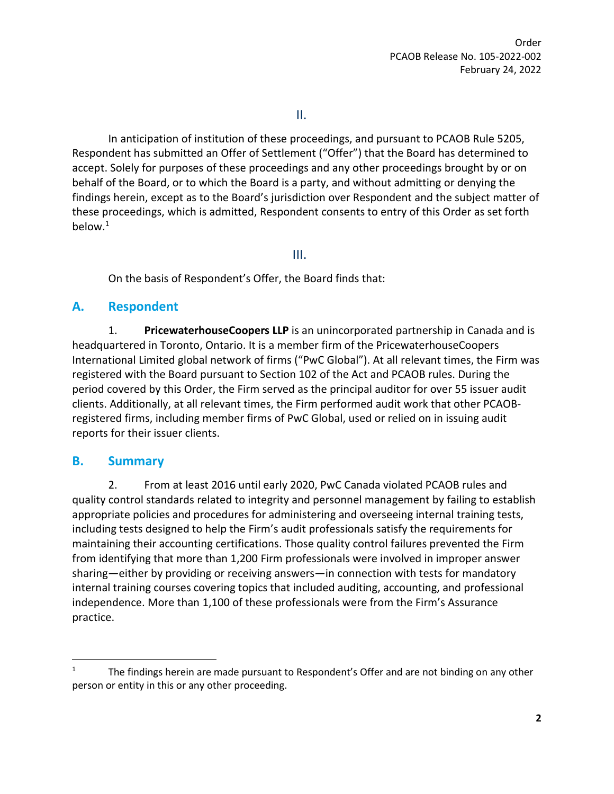II.

In anticipation of institution of these proceedings, and pursuant to PCAOB Rule 5205, Respondent has submitted an Offer of Settlement ("Offer") that the Board has determined to accept. Solely for purposes of these proceedings and any other proceedings brought by or on behalf of the Board, or to which the Board is a party, and without admitting or denying the findings herein, except as to the Board's jurisdiction over Respondent and the subject matter of these proceedings, which is admitted, Respondent consents to entry of this Order as set forth below.[1](#page-1-0)

III.

On the basis of Respondent's Offer, the Board finds that:

#### **A. Respondent**

1. **PricewaterhouseCoopers LLP** is an unincorporated partnership in Canada and is headquartered in Toronto, Ontario. It is a member firm of the PricewaterhouseCoopers International Limited global network of firms ("PwC Global"). At all relevant times, the Firm was registered with the Board pursuant to Section 102 of the Act and PCAOB rules. During the period covered by this Order, the Firm served as the principal auditor for over 55 issuer audit clients. Additionally, at all relevant times, the Firm performed audit work that other PCAOBregistered firms, including member firms of PwC Global, used or relied on in issuing audit reports for their issuer clients.

### **B. Summary**

2. From at least 2016 until early 2020, PwC Canada violated PCAOB rules and quality control standards related to integrity and personnel management by failing to establish appropriate policies and procedures for administering and overseeing internal training tests, including tests designed to help the Firm's audit professionals satisfy the requirements for maintaining their accounting certifications. Those quality control failures prevented the Firm from identifying that more than 1,200 Firm professionals were involved in improper answer sharing—either by providing or receiving answers—in connection with tests for mandatory internal training courses covering topics that included auditing, accounting, and professional independence. More than 1,100 of these professionals were from the Firm's Assurance practice.

<span id="page-1-0"></span><sup>&</sup>lt;sup>1</sup> The findings herein are made pursuant to Respondent's Offer and are not binding on any other person or entity in this or any other proceeding.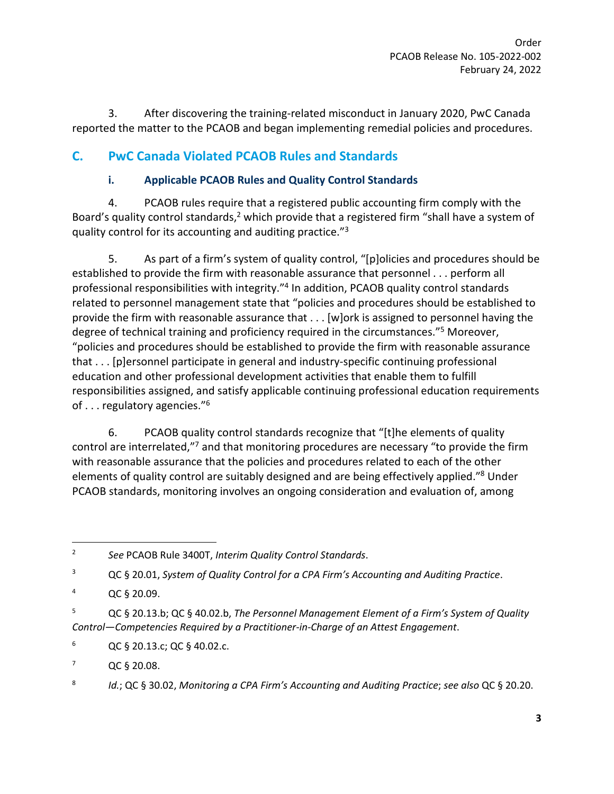3. After discovering the training-related misconduct in January 2020, PwC Canada reported the matter to the PCAOB and began implementing remedial policies and procedures.

## **C. PwC Canada Violated PCAOB Rules and Standards**

### **i. Applicable PCAOB Rules and Quality Control Standards**

4. PCAOB rules require that a registered public accounting firm comply with the Board's quality control standards,<sup>[2](#page-2-0)</sup> which provide that a registered firm "shall have a system of quality control for its accounting and auditing practice."[3](#page-2-1)

5. As part of a firm's system of quality control, "[p]olicies and procedures should be established to provide the firm with reasonable assurance that personnel . . . perform all professional responsibilities with integrity."<sup>[4](#page-2-2)</sup> In addition, PCAOB quality control standards related to personnel management state that "policies and procedures should be established to provide the firm with reasonable assurance that . . . [w]ork is assigned to personnel having the degree of technical training and proficiency required in the circumstances."<sup>[5](#page-2-3)</sup> Moreover, "policies and procedures should be established to provide the firm with reasonable assurance that . . . [p]ersonnel participate in general and industry-specific continuing professional education and other professional development activities that enable them to fulfill responsibilities assigned, and satisfy applicable continuing professional education requirements of . . . regulatory agencies."[6](#page-2-4)

6. PCAOB quality control standards recognize that "[t]he elements of quality control are interrelated,"<sup>[7](#page-2-5)</sup> and that monitoring procedures are necessary "to provide the firm with reasonable assurance that the policies and procedures related to each of the other elements of quality control are suitably designed and are being effectively applied."<sup>[8](#page-2-6)</sup> Under PCAOB standards, monitoring involves an ongoing consideration and evaluation of, among

<span id="page-2-1"></span><sup>3</sup> QC § 20.01, *System of Quality Control for a CPA Firm's Accounting and Auditing Practice*.

<span id="page-2-0"></span><sup>2</sup> *See* PCAOB Rule 3400T, *Interim Quality Control Standards*.

<span id="page-2-2"></span><sup>4</sup> QC § 20.09.

<span id="page-2-3"></span><sup>5</sup> QC § 20.13.b; QC § 40.02.b, *The Personnel Management Element of a Firm's System of Quality Control—Competencies Required by a Practitioner-in-Charge of an Attest Engagement*.

<span id="page-2-4"></span> $6$  QC § 20.13.c; QC § 40.02.c.

<span id="page-2-5"></span> $7^7$  QC § 20.08.

<span id="page-2-6"></span><sup>8</sup> *Id.*; QC § 30.02, *Monitoring a CPA Firm's Accounting and Auditing Practice*; *see also* QC § 20.20.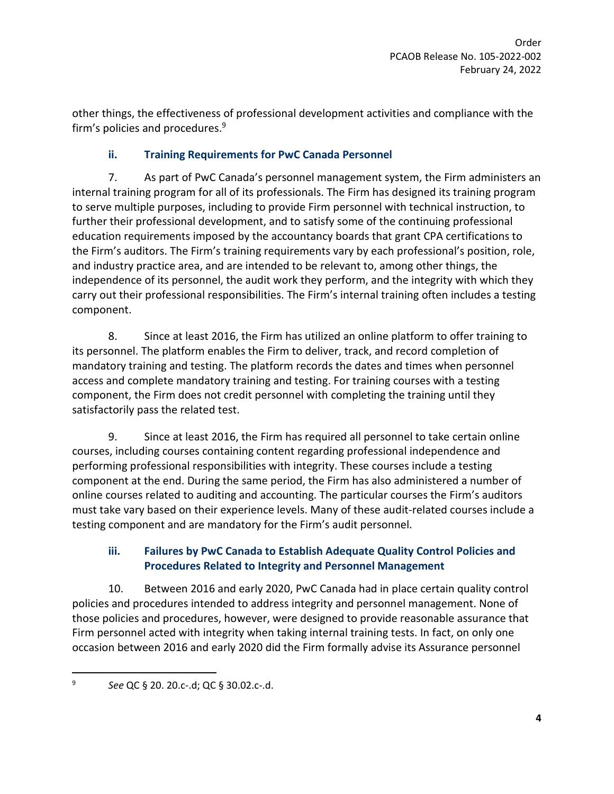other things, the effectiveness of professional development activities and compliance with the firm's policies and procedures.[9](#page-3-0)

#### **ii. Training Requirements for PwC Canada Personnel**

7. As part of PwC Canada's personnel management system, the Firm administers an internal training program for all of its professionals. The Firm has designed its training program to serve multiple purposes, including to provide Firm personnel with technical instruction, to further their professional development, and to satisfy some of the continuing professional education requirements imposed by the accountancy boards that grant CPA certifications to the Firm's auditors. The Firm's training requirements vary by each professional's position, role, and industry practice area, and are intended to be relevant to, among other things, the independence of its personnel, the audit work they perform, and the integrity with which they carry out their professional responsibilities. The Firm's internal training often includes a testing component.

8. Since at least 2016, the Firm has utilized an online platform to offer training to its personnel. The platform enables the Firm to deliver, track, and record completion of mandatory training and testing. The platform records the dates and times when personnel access and complete mandatory training and testing. For training courses with a testing component, the Firm does not credit personnel with completing the training until they satisfactorily pass the related test.

9. Since at least 2016, the Firm has required all personnel to take certain online courses, including courses containing content regarding professional independence and performing professional responsibilities with integrity. These courses include a testing component at the end. During the same period, the Firm has also administered a number of online courses related to auditing and accounting. The particular courses the Firm's auditors must take vary based on their experience levels. Many of these audit-related courses include a testing component and are mandatory for the Firm's audit personnel.

#### **iii. Failures by PwC Canada to Establish Adequate Quality Control Policies and Procedures Related to Integrity and Personnel Management**

10. Between 2016 and early 2020, PwC Canada had in place certain quality control policies and procedures intended to address integrity and personnel management. None of those policies and procedures, however, were designed to provide reasonable assurance that Firm personnel acted with integrity when taking internal training tests. In fact, on only one occasion between 2016 and early 2020 did the Firm formally advise its Assurance personnel

<span id="page-3-0"></span><sup>9</sup> *See* QC § 20. 20.c-.d; QC § 30.02.c-.d.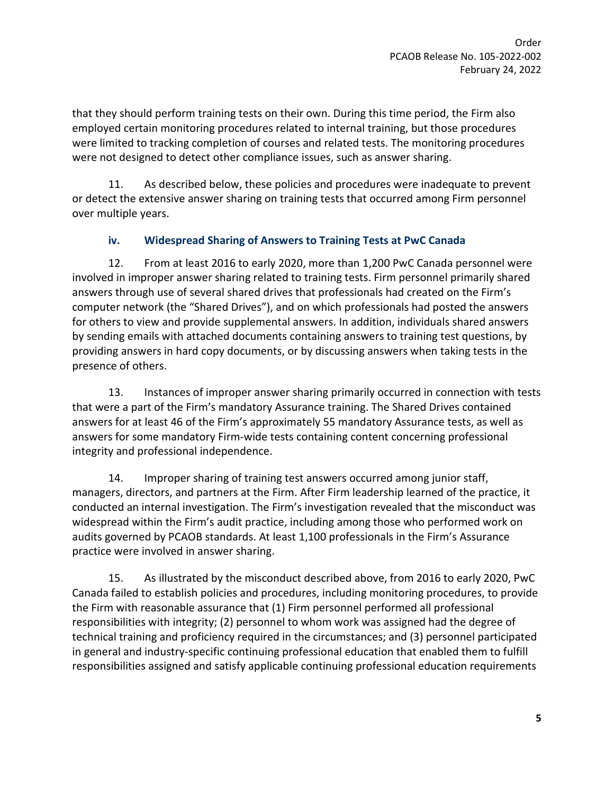that they should perform training tests on their own. During this time period, the Firm also employed certain monitoring procedures related to internal training, but those procedures were limited to tracking completion of courses and related tests. The monitoring procedures were not designed to detect other compliance issues, such as answer sharing.

11. As described below, these policies and procedures were inadequate to prevent or detect the extensive answer sharing on training tests that occurred among Firm personnel over multiple years.

#### **iv. Widespread Sharing of Answers to Training Tests at PwC Canada**

12. From at least 2016 to early 2020, more than 1,200 PwC Canada personnel were involved in improper answer sharing related to training tests. Firm personnel primarily shared answers through use of several shared drives that professionals had created on the Firm's computer network (the "Shared Drives"), and on which professionals had posted the answers for others to view and provide supplemental answers. In addition, individuals shared answers by sending emails with attached documents containing answers to training test questions, by providing answers in hard copy documents, or by discussing answers when taking tests in the presence of others.

13. Instances of improper answer sharing primarily occurred in connection with tests that were a part of the Firm's mandatory Assurance training. The Shared Drives contained answers for at least 46 of the Firm's approximately 55 mandatory Assurance tests, as well as answers for some mandatory Firm-wide tests containing content concerning professional integrity and professional independence.

14. Improper sharing of training test answers occurred among junior staff, managers, directors, and partners at the Firm. After Firm leadership learned of the practice, it conducted an internal investigation. The Firm's investigation revealed that the misconduct was widespread within the Firm's audit practice, including among those who performed work on audits governed by PCAOB standards. At least 1,100 professionals in the Firm's Assurance practice were involved in answer sharing.

15. As illustrated by the misconduct described above, from 2016 to early 2020, PwC Canada failed to establish policies and procedures, including monitoring procedures, to provide the Firm with reasonable assurance that (1) Firm personnel performed all professional responsibilities with integrity; (2) personnel to whom work was assigned had the degree of technical training and proficiency required in the circumstances; and (3) personnel participated in general and industry-specific continuing professional education that enabled them to fulfill responsibilities assigned and satisfy applicable continuing professional education requirements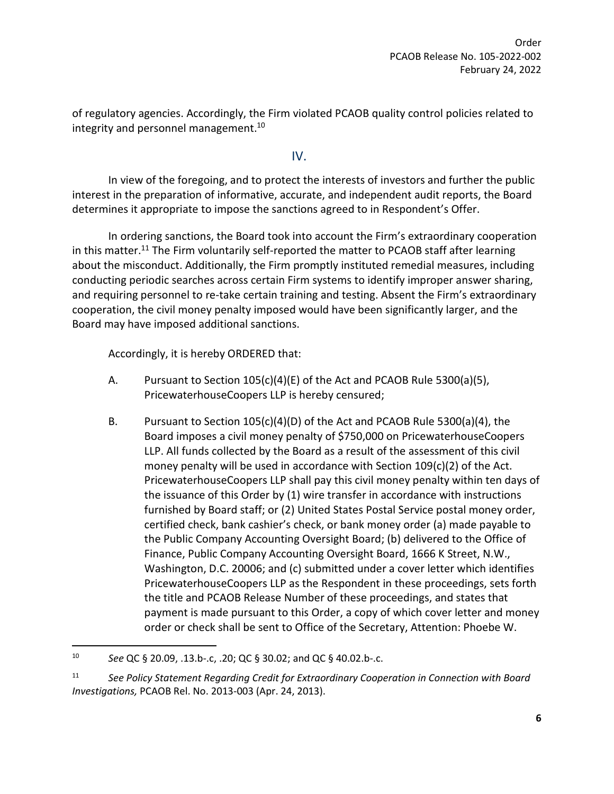of regulatory agencies. Accordingly, the Firm violated PCAOB quality control policies related to integrity and personnel management.<sup>[10](#page-5-0)</sup>

IV.

In view of the foregoing, and to protect the interests of investors and further the public interest in the preparation of informative, accurate, and independent audit reports, the Board determines it appropriate to impose the sanctions agreed to in Respondent's Offer.

In ordering sanctions, the Board took into account the Firm's extraordinary cooperation in this matter.<sup>[11](#page-5-1)</sup> The Firm voluntarily self-reported the matter to PCAOB staff after learning about the misconduct. Additionally, the Firm promptly instituted remedial measures, including conducting periodic searches across certain Firm systems to identify improper answer sharing, and requiring personnel to re-take certain training and testing. Absent the Firm's extraordinary cooperation, the civil money penalty imposed would have been significantly larger, and the Board may have imposed additional sanctions.

Accordingly, it is hereby ORDERED that:

- A. Pursuant to Section 105(c)(4)(E) of the Act and PCAOB Rule 5300(a)(5), PricewaterhouseCoopers LLP is hereby censured;
- B. Pursuant to Section 105(c)(4)(D) of the Act and PCAOB Rule 5300(a)(4), the Board imposes a civil money penalty of \$750,000 on PricewaterhouseCoopers LLP. All funds collected by the Board as a result of the assessment of this civil money penalty will be used in accordance with Section 109(c)(2) of the Act. PricewaterhouseCoopers LLP shall pay this civil money penalty within ten days of the issuance of this Order by (1) wire transfer in accordance with instructions furnished by Board staff; or (2) United States Postal Service postal money order, certified check, bank cashier's check, or bank money order (a) made payable to the Public Company Accounting Oversight Board; (b) delivered to the Office of Finance, Public Company Accounting Oversight Board, 1666 K Street, N.W., Washington, D.C. 20006; and (c) submitted under a cover letter which identifies PricewaterhouseCoopers LLP as the Respondent in these proceedings, sets forth the title and PCAOB Release Number of these proceedings, and states that payment is made pursuant to this Order, a copy of which cover letter and money order or check shall be sent to Office of the Secretary, Attention: Phoebe W.

<span id="page-5-0"></span><sup>10</sup> *See* QC § 20.09, .13.b-.c, .20; QC § 30.02; and QC § 40.02.b-.c.

<span id="page-5-1"></span><sup>11</sup> *See Policy Statement Regarding Credit for Extraordinary Cooperation in Connection with Board Investigations,* PCAOB Rel. No. 2013-003 (Apr. 24, 2013).